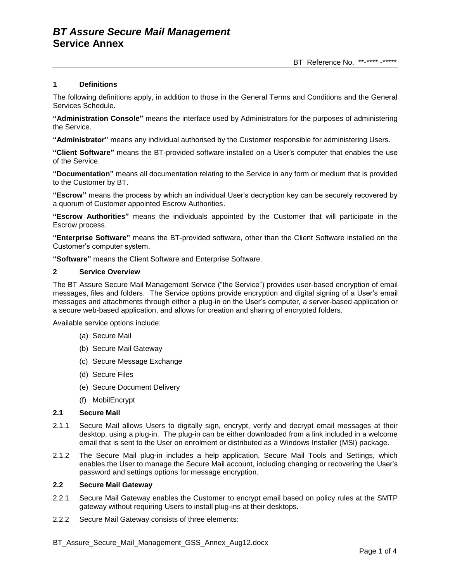## **1 Definitions**

The following definitions apply, in addition to those in the General Terms and Conditions and the General Services Schedule.

**"Administration Console"** means the interface used by Administrators for the purposes of administering the Service.

**"Administrator"** means any individual authorised by the Customer responsible for administering Users.

**"Client Software"** means the BT-provided software installed on a User's computer that enables the use of the Service.

**"Documentation"** means all documentation relating to the Service in any form or medium that is provided to the Customer by BT.

**"Escrow"** means the process by which an individual User's decryption key can be securely recovered by a quorum of Customer appointed Escrow Authorities.

**"Escrow Authorities"** means the individuals appointed by the Customer that will participate in the Escrow process.

**"Enterprise Software"** means the BT-provided software, other than the Client Software installed on the Customer's computer system.

**"Software"** means the Client Software and Enterprise Software.

### **2 Service Overview**

The BT Assure Secure Mail Management Service ("the Service") provides user-based encryption of email messages, files and folders. The Service options provide encryption and digital signing of a User's email messages and attachments through either a plug-in on the User's computer, a server-based application or a secure web-based application, and allows for creation and sharing of encrypted folders.

Available service options include:

- (a) Secure Mail
- (b) Secure Mail Gateway
- (c) Secure Message Exchange
- (d) Secure Files
- (e) Secure Document Delivery
- (f) MobilEncrypt

#### **2.1 Secure Mail**

- 2.1.1 Secure Mail allows Users to digitally sign, encrypt, verify and decrypt email messages at their desktop, using a plug-in. The plug-in can be either downloaded from a link included in a welcome email that is sent to the User on enrolment or distributed as a Windows Installer (MSI) package.
- 2.1.2 The Secure Mail plug-in includes a help application, Secure Mail Tools and Settings, which enables the User to manage the Secure Mail account, including changing or recovering the User's password and settings options for message encryption.

### **2.2 Secure Mail Gateway**

- 2.2.1 Secure Mail Gateway enables the Customer to encrypt email based on policy rules at the SMTP gateway without requiring Users to install plug-ins at their desktops.
- 2.2.2 Secure Mail Gateway consists of three elements: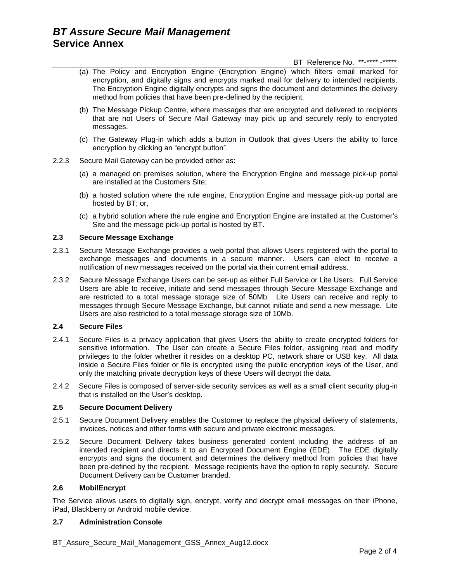- (a) The Policy and Encryption Engine (Encryption Engine) which filters email marked for encryption, and digitally signs and encrypts marked mail for delivery to intended recipients. The Encryption Engine digitally encrypts and signs the document and determines the delivery method from policies that have been pre-defined by the recipient.
- (b) The Message Pickup Centre, where messages that are encrypted and delivered to recipients that are not Users of Secure Mail Gateway may pick up and securely reply to encrypted messages.
- (c) The Gateway Plug-in which adds a button in Outlook that gives Users the ability to force encryption by clicking an "encrypt button".
- 2.2.3 Secure Mail Gateway can be provided either as:
	- (a) a managed on premises solution, where the Encryption Engine and message pick-up portal are installed at the Customers Site;
	- (b) a hosted solution where the rule engine, Encryption Engine and message pick-up portal are hosted by BT; or,
	- (c) a hybrid solution where the rule engine and Encryption Engine are installed at the Customer's Site and the message pick-up portal is hosted by BT.

## **2.3 Secure Message Exchange**

- 2.3.1 Secure Message Exchange provides a web portal that allows Users registered with the portal to exchange messages and documents in a secure manner. Users can elect to receive a notification of new messages received on the portal via their current email address.
- 2.3.2 Secure Message Exchange Users can be set-up as either Full Service or Lite Users. Full Service Users are able to receive, initiate and send messages through Secure Message Exchange and are restricted to a total message storage size of 50Mb. Lite Users can receive and reply to messages through Secure Message Exchange, but cannot initiate and send a new message. Lite Users are also restricted to a total message storage size of 10Mb.

## **2.4 Secure Files**

- 2.4.1 Secure Files is a privacy application that gives Users the ability to create encrypted folders for sensitive information. The User can create a Secure Files folder, assigning read and modify privileges to the folder whether it resides on a desktop PC, network share or USB key. All data inside a Secure Files folder or file is encrypted using the public encryption keys of the User, and only the matching private decryption keys of these Users will decrypt the data.
- 2.4.2 Secure Files is composed of server-side security services as well as a small client security plug-in that is installed on the User's desktop.

## **2.5 Secure Document Delivery**

- 2.5.1 Secure Document Delivery enables the Customer to replace the physical delivery of statements, invoices, notices and other forms with secure and private electronic messages.
- 2.5.2 Secure Document Delivery takes business generated content including the address of an intended recipient and directs it to an Encrypted Document Engine (EDE). The EDE digitally encrypts and signs the document and determines the delivery method from policies that have been pre-defined by the recipient. Message recipients have the option to reply securely. Secure Document Delivery can be Customer branded.

### **2.6 MobilEncrypt**

The Service allows users to digitally sign, encrypt, verify and decrypt email messages on their iPhone, iPad, Blackberry or Android mobile device.

### **2.7 Administration Console**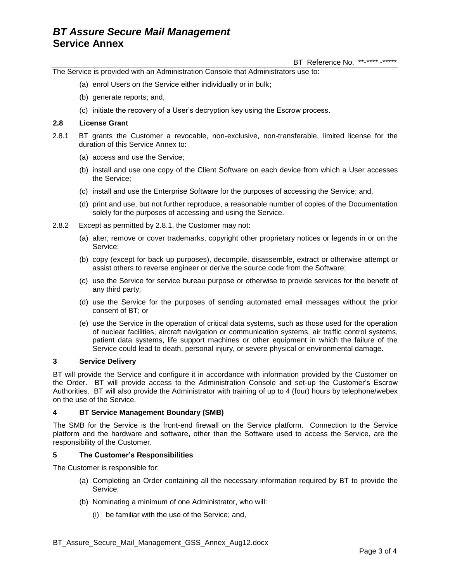The Service is provided with an Administration Console that Administrators use to:

- (a) enrol Users on the Service either individually or in bulk;
- (b) generate reports; and,
- (c) initiate the recovery of a User's decryption key using the Escrow process.

#### **2.8 License Grant**

- 2.8.1 BT grants the Customer a revocable, non-exclusive, non-transferable, limited license for the duration of this Service Annex to:
	- (a) access and use the Service;
	- (b) install and use one copy of the Client Software on each device from which a User accesses the Service;
	- (c) install and use the Enterprise Software for the purposes of accessing the Service; and,
	- (d) print and use, but not further reproduce, a reasonable number of copies of the Documentation solely for the purposes of accessing and using the Service.
- 2.8.2 Except as permitted by 2.8.1, the Customer may not:
	- (a) alter, remove or cover trademarks, copyright other proprietary notices or legends in or on the Service;
	- (b) copy (except for back up purposes), decompile, disassemble, extract or otherwise attempt or assist others to reverse engineer or derive the source code from the Software;
	- (c) use the Service for service bureau purpose or otherwise to provide services for the benefit of any third party;
	- (d) use the Service for the purposes of sending automated email messages without the prior consent of BT; or
	- (e) use the Service in the operation of critical data systems, such as those used for the operation of nuclear facilities, aircraft navigation or communication systems, air traffic control systems, patient data systems, life support machines or other equipment in which the failure of the Service could lead to death, personal injury, or severe physical or environmental damage.

### **3 Service Delivery**

BT will provide the Service and configure it in accordance with information provided by the Customer on the Order. BT will provide access to the Administration Console and set-up the Customer's Escrow Authorities. BT will also provide the Administrator with training of up to 4 (four) hours by telephone/webex on the use of the Service.

### **4 BT Service Management Boundary (SMB)**

The SMB for the Service is the front-end firewall on the Service platform. Connection to the Service platform and the hardware and software, other than the Software used to access the Service, are the responsibility of the Customer.

### **5 The Customer's Responsibilities**

The Customer is responsible for:

- (a) Completing an Order containing all the necessary information required by BT to provide the Service;
- (b) Nominating a minimum of one Administrator, who will:
	- (i) be familiar with the use of the Service; and,